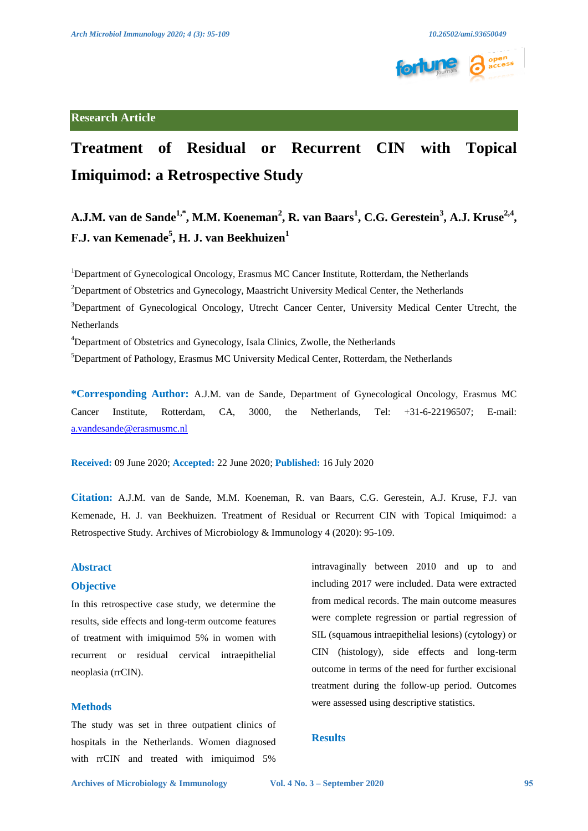

## **Research Article**

# **Treatment of Residual or Recurrent CIN with Topical Imiquimod: a Retrospective Study**

**A.J.M. van de Sande<sup>1,\*</sup>, M.M. Koeneman<sup>2</sup>, R. van Baars<sup>1</sup>, C.G. Gerestein<sup>3</sup>, A.J. Kruse<sup>2,4</sup>, F.J. van Kemenade<sup>5</sup> , H. J. van Beekhuizen<sup>1</sup>**

<sup>1</sup>Department of Gynecological Oncology, Erasmus MC Cancer Institute, Rotterdam, the Netherlands  $2$ Department of Obstetrics and Gynecology, Maastricht University Medical Center, the Netherlands <sup>3</sup>Department of Gynecological Oncology, Utrecht Cancer Center, University Medical Center Utrecht, the Netherlands <sup>4</sup>Department of Obstetrics and Gynecology, Isala Clinics, Zwolle, the Netherlands <sup>5</sup>Department of Pathology, Erasmus MC University Medical Center, Rotterdam, the Netherlands

**\*Corresponding Author:** A.J.M. van de Sande, Department of Gynecological Oncology, Erasmus MC Cancer Institute, Rotterdam, CA, 3000, the Netherlands, Tel: +31-6-22196507; E-mail: [a.vandesande@erasmusmc.nl](mailto:a.vandesande@erasmusmc.nl)

**Received:** 09 June 2020; **Accepted:** 22 June 2020; **Published:** 16 July 2020

**Citation:** A.J.M. van de Sande, M.M. Koeneman, R. van Baars, C.G. Gerestein, A.J. Kruse, F.J. van Kemenade, H. J. van Beekhuizen. Treatment of Residual or Recurrent CIN with Topical Imiquimod: a Retrospective Study. Archives of Microbiology & Immunology 4 (2020): 95-109.

## **Abstract**

## **Objective**

In this retrospective case study, we determine the results, side effects and long-term outcome features of treatment with imiquimod 5% in women with recurrent or residual cervical intraepithelial neoplasia (rrCIN).

## **Methods**

The study was set in three outpatient clinics of hospitals in the Netherlands. Women diagnosed with rrCIN and treated with imiquimod 5%

intravaginally between 2010 and up to and including 2017 were included. Data were extracted from medical records. The main outcome measures were complete regression or partial regression of SIL (squamous intraepithelial lesions) (cytology) or CIN (histology), side effects and long-term outcome in terms of the need for further excisional treatment during the follow-up period. Outcomes were assessed using descriptive statistics.

## **Results**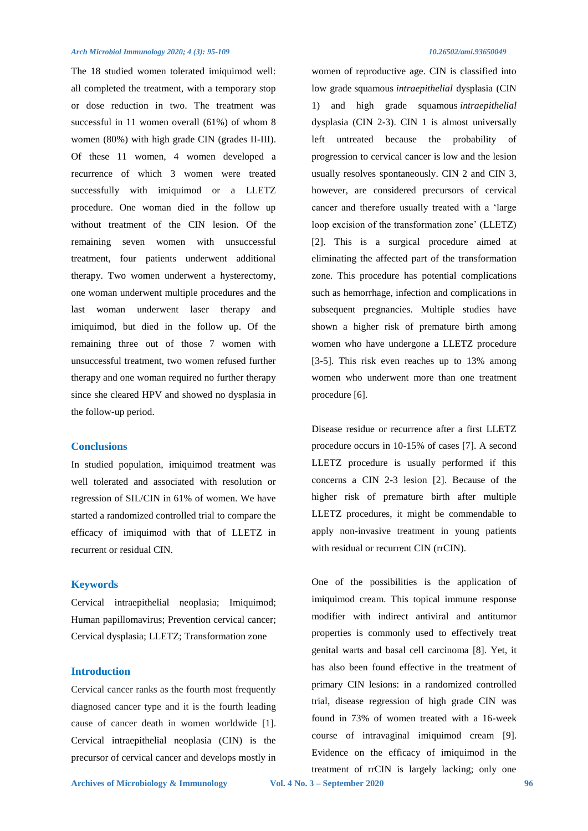The 18 studied women tolerated imiquimod well: all completed the treatment, with a temporary stop or dose reduction in two. The treatment was successful in 11 women overall (61%) of whom 8 women (80%) with high grade CIN (grades II-III). Of these 11 women, 4 women developed a recurrence of which 3 women were treated successfully with imiquimod or a LLETZ procedure. One woman died in the follow up without treatment of the CIN lesion. Of the remaining seven women with unsuccessful treatment, four patients underwent additional therapy. Two women underwent a hysterectomy, one woman underwent multiple procedures and the last woman underwent laser therapy and imiquimod, but died in the follow up. Of the remaining three out of those 7 women with unsuccessful treatment, two women refused further therapy and one woman required no further therapy since she cleared HPV and showed no dysplasia in the follow-up period.

## **Conclusions**

In studied population, imiquimod treatment was well tolerated and associated with resolution or regression of SIL/CIN in 61% of women. We have started a randomized controlled trial to compare the efficacy of imiquimod with that of LLETZ in recurrent or residual CIN.

## **Keywords**

Cervical intraepithelial neoplasia; Imiquimod; Human papillomavirus; Prevention cervical cancer; Cervical dysplasia; LLETZ; Transformation zone

## **Introduction**

Cervical cancer ranks as the fourth most frequently diagnosed cancer type and it is the fourth leading cause of cancer death in women worldwide [1]. Cervical intraepithelial neoplasia (CIN) is the precursor of cervical cancer and develops mostly in

women of reproductive age. CIN is classified into low grade squamous *intraepithelial* dysplasia (CIN 1) and high grade squamous *intraepithelial* dysplasia (CIN 2-3). CIN 1 is almost universally left untreated because the probability of progression to cervical cancer is low and the lesion usually resolves spontaneously. CIN 2 and CIN 3, however, are considered precursors of cervical cancer and therefore usually treated with a 'large loop excision of the transformation zone' (LLETZ) [2]. This is a surgical procedure aimed at eliminating the affected part of the transformation zone. This procedure has potential complications such as hemorrhage, infection and complications in subsequent pregnancies. Multiple studies have shown a higher risk of premature birth among women who have undergone a LLETZ procedure [3-5]. This risk even reaches up to 13% among women who underwent more than one treatment procedure [6].

Disease residue or recurrence after a first LLETZ procedure occurs in 10-15% of cases [7]. A second LLETZ procedure is usually performed if this concerns a CIN 2-3 lesion [2]. Because of the higher risk of premature birth after multiple LLETZ procedures, it might be commendable to apply non-invasive treatment in young patients with residual or recurrent CIN (rrCIN).

One of the possibilities is the application of imiquimod cream. This topical immune response modifier with indirect antiviral and antitumor properties is commonly used to effectively treat genital warts and basal cell carcinoma [8]. Yet, it has also been found effective in the treatment of primary CIN lesions: in a randomized controlled trial, disease regression of high grade CIN was found in 73% of women treated with a 16-week course of intravaginal imiquimod cream [9]. Evidence on the efficacy of imiquimod in the treatment of rrCIN is largely lacking; only one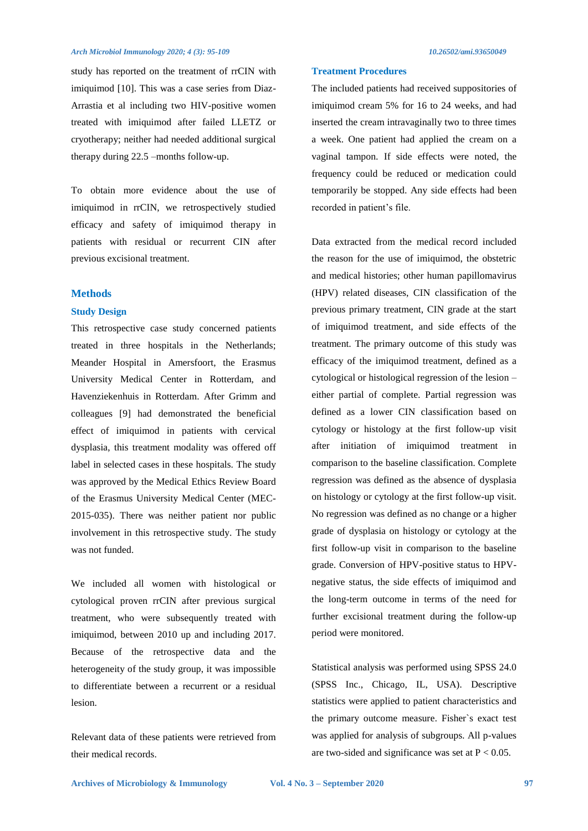study has reported on the treatment of rrCIN with imiquimod [10]. This was a case series from Diaz-Arrastia et al including two HIV-positive women treated with imiquimod after failed LLETZ or cryotherapy; neither had needed additional surgical therapy during 22.5 –months follow-up.

To obtain more evidence about the use of imiquimod in rrCIN, we retrospectively studied efficacy and safety of imiquimod therapy in patients with residual or recurrent CIN after previous excisional treatment.

## **Methods**

### **Study Design**

This retrospective case study concerned patients treated in three hospitals in the Netherlands; Meander Hospital in Amersfoort, the Erasmus University Medical Center in Rotterdam, and Havenziekenhuis in Rotterdam. After Grimm and colleagues [9] had demonstrated the beneficial effect of imiquimod in patients with cervical dysplasia, this treatment modality was offered off label in selected cases in these hospitals. The study was approved by the Medical Ethics Review Board of the Erasmus University Medical Center (MEC-2015-035). There was neither patient nor public involvement in this retrospective study. The study was not funded.

We included all women with histological or cytological proven rrCIN after previous surgical treatment, who were subsequently treated with imiquimod, between 2010 up and including 2017. Because of the retrospective data and the heterogeneity of the study group, it was impossible to differentiate between a recurrent or a residual lesion.

Relevant data of these patients were retrieved from their medical records.

## **Treatment Procedures**

The included patients had received suppositories of imiquimod cream 5% for 16 to 24 weeks, and had inserted the cream intravaginally two to three times a week. One patient had applied the cream on a vaginal tampon. If side effects were noted, the frequency could be reduced or medication could temporarily be stopped. Any side effects had been recorded in patient's file.

Data extracted from the medical record included the reason for the use of imiquimod, the obstetric and medical histories; other human papillomavirus (HPV) related diseases, CIN classification of the previous primary treatment, CIN grade at the start of imiquimod treatment, and side effects of the treatment. The primary outcome of this study was efficacy of the imiquimod treatment, defined as a cytological or histological regression of the lesion – either partial of complete. Partial regression was defined as a lower CIN classification based on cytology or histology at the first follow-up visit after initiation of imiquimod treatment in comparison to the baseline classification. Complete regression was defined as the absence of dysplasia on histology or cytology at the first follow-up visit. No regression was defined as no change or a higher grade of dysplasia on histology or cytology at the first follow-up visit in comparison to the baseline grade. Conversion of HPV-positive status to HPVnegative status, the side effects of imiquimod and the long-term outcome in terms of the need for further excisional treatment during the follow-up period were monitored.

Statistical analysis was performed using SPSS 24.0 (SPSS Inc., Chicago, IL, USA). Descriptive statistics were applied to patient characteristics and the primary outcome measure. Fisher`s exact test was applied for analysis of subgroups. All p-values are two-sided and significance was set at  $P < 0.05$ .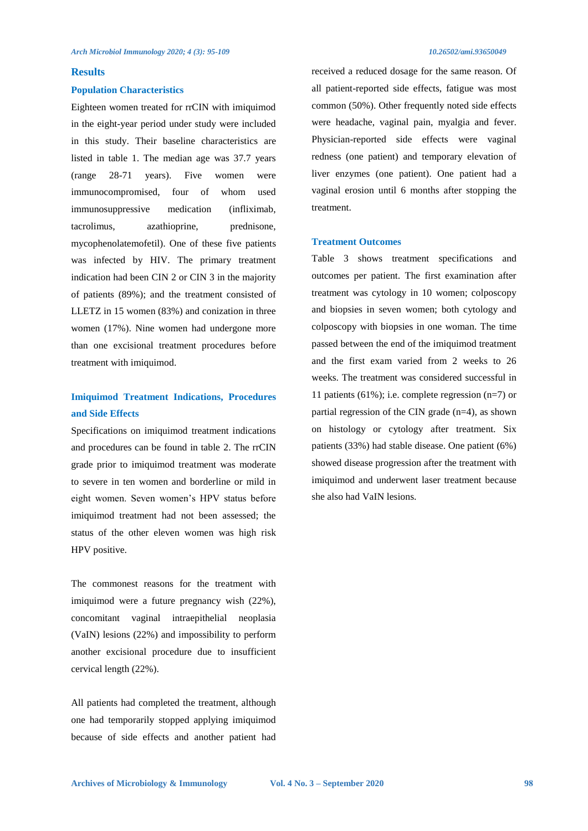## **Results**

### **Population Characteristics**

Eighteen women treated for rrCIN with imiquimod in the eight-year period under study were included in this study. Their baseline characteristics are listed in table 1. The median age was 37.7 years (range 28-71 years). Five women were immunocompromised, four of whom used immunosuppressive medication (infliximab, tacrolimus, azathioprine, prednisone, mycophenolatemofetil). One of these five patients was infected by HIV. The primary treatment indication had been CIN 2 or CIN 3 in the majority of patients (89%); and the treatment consisted of LLETZ in 15 women (83%) and conization in three women (17%). Nine women had undergone more than one excisional treatment procedures before treatment with imiquimod.

## **Imiquimod Treatment Indications, Procedures and Side Effects**

Specifications on imiquimod treatment indications and procedures can be found in table 2. The rrCIN grade prior to imiquimod treatment was moderate to severe in ten women and borderline or mild in eight women. Seven women's HPV status before imiquimod treatment had not been assessed; the status of the other eleven women was high risk HPV positive.

The commonest reasons for the treatment with imiquimod were a future pregnancy wish  $(22\%)$ . concomitant vaginal intraepithelial neoplasia (VaIN) lesions (22%) and impossibility to perform another excisional procedure due to insufficient cervical length (22%).

All patients had completed the treatment, although one had temporarily stopped applying imiquimod because of side effects and another patient had

received a reduced dosage for the same reason. Of all patient-reported side effects, fatigue was most common (50%). Other frequently noted side effects were headache, vaginal pain, myalgia and fever. Physician-reported side effects were vaginal redness (one patient) and temporary elevation of liver enzymes (one patient). One patient had a vaginal erosion until 6 months after stopping the treatment.

## **Treatment Outcomes**

Table 3 shows treatment specifications and outcomes per patient. The first examination after treatment was cytology in 10 women; colposcopy and biopsies in seven women; both cytology and colposcopy with biopsies in one woman. The time passed between the end of the imiquimod treatment and the first exam varied from 2 weeks to 26 weeks. The treatment was considered successful in 11 patients (61%); i.e. complete regression (n=7) or partial regression of the CIN grade (n=4), as shown on histology or cytology after treatment. Six patients (33%) had stable disease. One patient (6%) showed disease progression after the treatment with imiquimod and underwent laser treatment because she also had VaIN lesions.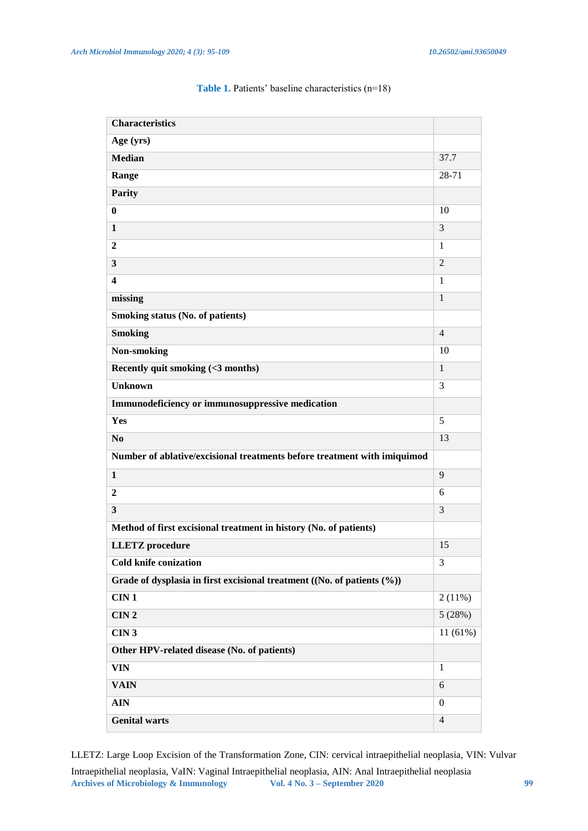| <b>Characteristics</b>                                                   |                |
|--------------------------------------------------------------------------|----------------|
| Age (yrs)                                                                |                |
| <b>Median</b>                                                            | 37.7           |
| Range                                                                    | 28-71          |
| <b>Parity</b>                                                            |                |
| $\bf{0}$                                                                 | 10             |
| $\mathbf{1}$                                                             | 3              |
| $\mathbf{2}$                                                             | $\mathbf{1}$   |
| $\overline{\mathbf{3}}$                                                  | $\overline{2}$ |
| $\overline{\mathbf{4}}$                                                  | $\mathbf{1}$   |
| missing                                                                  | $\mathbf{1}$   |
| <b>Smoking status (No. of patients)</b>                                  |                |
| <b>Smoking</b>                                                           | $\overline{4}$ |
| Non-smoking                                                              | 10             |
| Recently quit smoking (<3 months)                                        | $\mathbf{1}$   |
| <b>Unknown</b>                                                           | 3              |
| Immunodeficiency or immunosuppressive medication                         |                |
| Yes                                                                      | 5              |
| N <sub>o</sub>                                                           | 13             |
| Number of ablative/excisional treatments before treatment with imiquimod |                |
| $\mathbf{1}$                                                             | 9              |
| $\overline{2}$                                                           | 6              |
| $\overline{\mathbf{3}}$                                                  | 3              |
| Method of first excisional treatment in history (No. of patients)        |                |
| <b>LLETZ</b> procedure                                                   | 15             |
| Cold knife conization                                                    | 3              |
| Grade of dysplasia in first excisional treatment ((No. of patients (%))  |                |
| CIN1                                                                     | 2(11%)         |
| CIN2                                                                     | 5(28%)         |
| CIN3                                                                     | 11 (61%)       |
| Other HPV-related disease (No. of patients)                              |                |
| <b>VIN</b>                                                               | $\mathbf{1}$   |
| <b>VAIN</b>                                                              | 6              |
| <b>AIN</b>                                                               | $\overline{0}$ |
| <b>Genital warts</b>                                                     | $\overline{4}$ |

## Table 1. Patients' baseline characteristics (n=18)

LLETZ: Large Loop Excision of the Transformation Zone, CIN: cervical intraepithelial neoplasia, VIN: Vulvar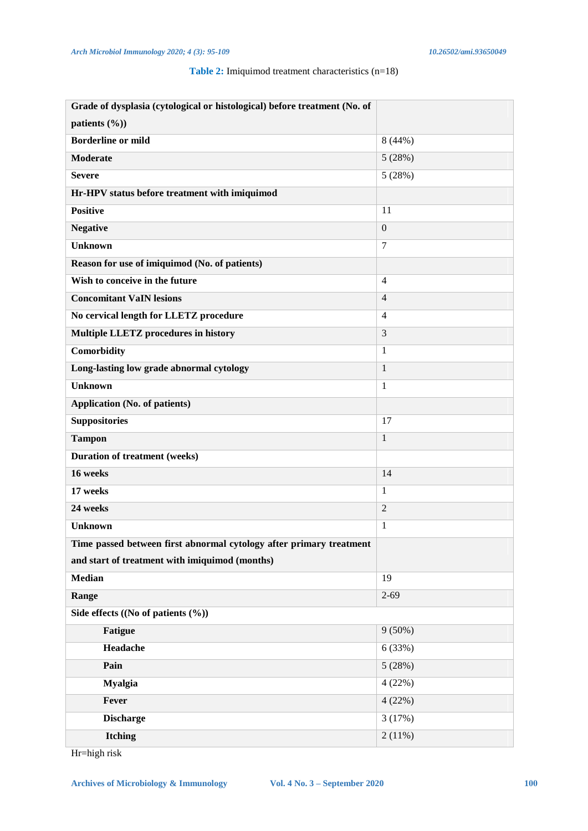## **Table 2:** Imiquimod treatment characteristics (n=18)

| Grade of dysplasia (cytological or histological) before treatment (No. of |                |  |  |  |  |  |
|---------------------------------------------------------------------------|----------------|--|--|--|--|--|
| patients (%))                                                             |                |  |  |  |  |  |
| <b>Borderline or mild</b>                                                 | 8(44%)         |  |  |  |  |  |
| <b>Moderate</b>                                                           | 5(28%)         |  |  |  |  |  |
| <b>Severe</b>                                                             | 5(28%)         |  |  |  |  |  |
| Hr-HPV status before treatment with imiquimod                             |                |  |  |  |  |  |
| <b>Positive</b>                                                           | 11             |  |  |  |  |  |
| <b>Negative</b>                                                           | $\mathbf{0}$   |  |  |  |  |  |
| <b>Unknown</b>                                                            | $\overline{7}$ |  |  |  |  |  |
| Reason for use of imiquimod (No. of patients)                             |                |  |  |  |  |  |
| Wish to conceive in the future                                            | $\overline{4}$ |  |  |  |  |  |
| <b>Concomitant VaIN lesions</b>                                           | $\overline{4}$ |  |  |  |  |  |
| No cervical length for LLETZ procedure                                    | $\overline{4}$ |  |  |  |  |  |
| <b>Multiple LLETZ procedures in history</b>                               | 3              |  |  |  |  |  |
| Comorbidity                                                               | 1              |  |  |  |  |  |
| Long-lasting low grade abnormal cytology                                  | $\mathbf{1}$   |  |  |  |  |  |
| <b>Unknown</b>                                                            | 1              |  |  |  |  |  |
| <b>Application (No. of patients)</b>                                      |                |  |  |  |  |  |
| <b>Suppositories</b>                                                      | 17             |  |  |  |  |  |
| <b>Tampon</b>                                                             | $\mathbf{1}$   |  |  |  |  |  |
| <b>Duration of treatment (weeks)</b>                                      |                |  |  |  |  |  |
| 16 weeks                                                                  | 14             |  |  |  |  |  |
| 17 weeks                                                                  | $\mathbf{1}$   |  |  |  |  |  |
| 24 weeks                                                                  | $\overline{2}$ |  |  |  |  |  |
| <b>Unknown</b>                                                            | 1              |  |  |  |  |  |
| Time passed between first abnormal cytology after primary treatment       |                |  |  |  |  |  |
| and start of treatment with imiquimod (months)                            |                |  |  |  |  |  |
| <b>Median</b>                                                             | 19             |  |  |  |  |  |
| Range                                                                     | $2 - 69$       |  |  |  |  |  |
| Side effects $((No of patients (%)))$                                     |                |  |  |  |  |  |
| <b>Fatigue</b>                                                            | $9(50\%)$      |  |  |  |  |  |
| Headache                                                                  | 6(33%)         |  |  |  |  |  |
| Pain                                                                      | 5(28%)         |  |  |  |  |  |
| <b>Myalgia</b>                                                            | 4(22%)         |  |  |  |  |  |
| Fever                                                                     | 4(22%)         |  |  |  |  |  |
| <b>Discharge</b>                                                          | 3(17%)         |  |  |  |  |  |
| <b>Itching</b>                                                            | 2(11%)         |  |  |  |  |  |

Hr=high risk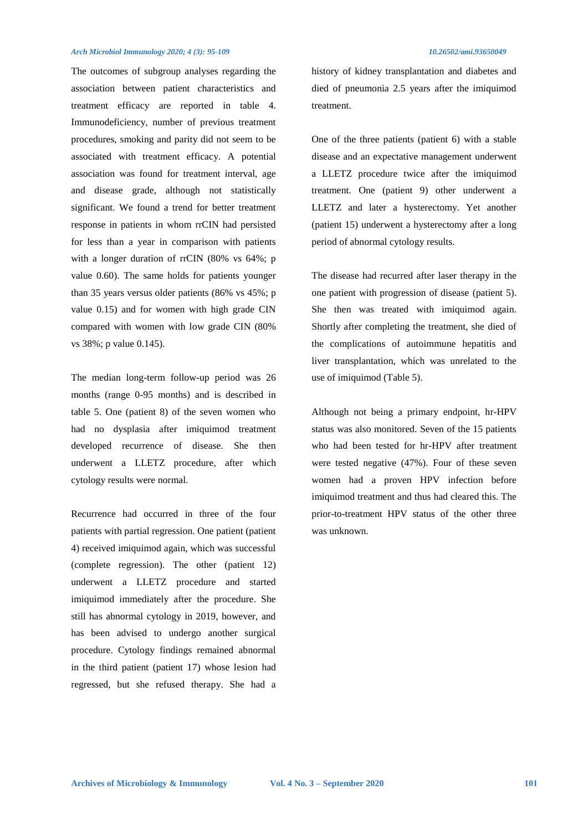The outcomes of subgroup analyses regarding the association between patient characteristics and treatment efficacy are reported in table 4. Immunodeficiency, number of previous treatment procedures, smoking and parity did not seem to be associated with treatment efficacy. A potential association was found for treatment interval, age and disease grade, although not statistically significant. We found a trend for better treatment response in patients in whom rrCIN had persisted for less than a year in comparison with patients with a longer duration of rrCIN (80% vs 64%; p value 0.60). The same holds for patients younger than 35 years versus older patients (86% vs 45%; p value 0.15) and for women with high grade CIN compared with women with low grade CIN (80% vs 38%; p value 0.145).

The median long-term follow-up period was 26 months (range 0-95 months) and is described in table 5. One (patient 8) of the seven women who had no dysplasia after imiquimod treatment developed recurrence of disease. She then underwent a LLETZ procedure, after which cytology results were normal.

Recurrence had occurred in three of the four patients with partial regression. One patient (patient 4) received imiquimod again, which was successful (complete regression). The other (patient 12) underwent a LLETZ procedure and started imiquimod immediately after the procedure. She still has abnormal cytology in 2019, however, and has been advised to undergo another surgical procedure. Cytology findings remained abnormal in the third patient (patient 17) whose lesion had regressed, but she refused therapy. She had a

history of kidney transplantation and diabetes and died of pneumonia 2.5 years after the imiquimod treatment.

One of the three patients (patient 6) with a stable disease and an expectative management underwent a LLETZ procedure twice after the imiquimod treatment. One (patient 9) other underwent a LLETZ and later a hysterectomy. Yet another (patient 15) underwent a hysterectomy after a long period of abnormal cytology results.

The disease had recurred after laser therapy in the one patient with progression of disease (patient 5). She then was treated with imiquimod again. Shortly after completing the treatment, she died of the complications of autoimmune hepatitis and liver transplantation, which was unrelated to the use of imiquimod (Table 5).

Although not being a primary endpoint, hr-HPV status was also monitored. Seven of the 15 patients who had been tested for hr-HPV after treatment were tested negative (47%). Four of these seven women had a proven HPV infection before imiquimod treatment and thus had cleared this. The prior-to-treatment HPV status of the other three was unknown.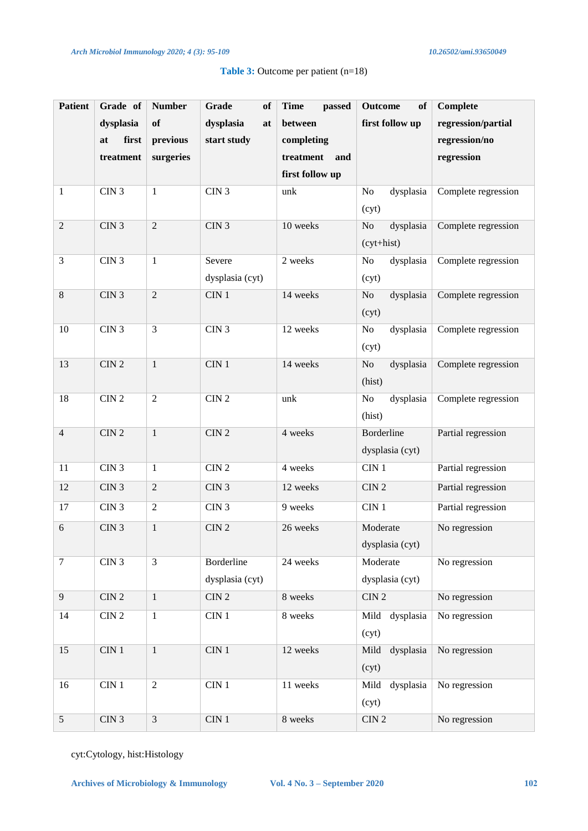| <b>Patient</b>   | Grade of         | <b>Number</b>  | Grade<br>of      | <b>Time</b><br>passed | <b>Outcome</b><br>of  | <b>Complete</b>     |
|------------------|------------------|----------------|------------------|-----------------------|-----------------------|---------------------|
|                  | dysplasia        | of             | dysplasia<br>at  | between               | first follow up       | regression/partial  |
|                  | at<br>first      | previous       | start study      | completing            |                       | regression/no       |
|                  | treatment        | surgeries      |                  | treatment<br>and      |                       | regression          |
|                  |                  |                |                  | first follow up       |                       |                     |
| $\mathbf{1}$     | CIN <sub>3</sub> | $\mathbf{1}$   | CIN <sub>3</sub> | unk                   | dysplasia<br>No       | Complete regression |
|                  |                  |                |                  |                       | (cyt)                 |                     |
| $\overline{2}$   | CIN <sub>3</sub> | $\overline{2}$ | CIN3             | 10 weeks              | No<br>dysplasia       | Complete regression |
|                  |                  |                |                  |                       | (cyt+hist)            |                     |
| 3                | CIN <sub>3</sub> | $\mathbf{1}$   | Severe           | 2 weeks               | No<br>dysplasia       | Complete regression |
|                  |                  |                | dysplasia (cyt)  |                       | (cyt)                 |                     |
| $\,8\,$          | CIN <sub>3</sub> | $\overline{c}$ | CIN 1            | 14 weeks              | $\rm No$<br>dysplasia | Complete regression |
|                  |                  |                |                  |                       | (cyt)                 |                     |
| 10               | CIN <sub>3</sub> | 3              | CIN <sub>3</sub> | 12 weeks              | No<br>dysplasia       | Complete regression |
|                  |                  |                |                  |                       | (cyt)                 |                     |
| 13               | CIN2             | $\overline{1}$ | CIN1             | 14 weeks              | $\rm No$<br>dysplasia | Complete regression |
|                  |                  |                |                  |                       | (hist)                |                     |
| 18               | CIN <sub>2</sub> | $\overline{2}$ | CIN2             | unk                   | No<br>dysplasia       | Complete regression |
|                  |                  |                |                  |                       | (hist)                |                     |
| $\overline{4}$   | CIN <sub>2</sub> | $\mathbf{1}$   | $CIN$ $2$        | 4 weeks               | Borderline            | Partial regression  |
|                  |                  |                |                  |                       | dysplasia (cyt)       |                     |
| 11               | CIN <sub>3</sub> | $\mathbf{1}$   | $\rm CIN$ $2$    | 4 weeks               | CIN <sub>1</sub>      | Partial regression  |
| 12               | CIN <sub>3</sub> | $\overline{2}$ | CIN <sub>3</sub> | 12 weeks              | CIN <sub>2</sub>      | Partial regression  |
| 17               | CIN <sub>3</sub> | $\overline{2}$ | CIN <sub>3</sub> | 9 weeks               | CIN <sub>1</sub>      | Partial regression  |
| 6                | CIN <sub>3</sub> | $\mathbf{1}$   | $CIN$ $2$        | 26 weeks              | Moderate              | No regression       |
|                  |                  |                |                  |                       | dysplasia (cyt)       |                     |
| $\boldsymbol{7}$ | CIN3             | $\overline{3}$ | Borderline       | 24 weeks              | Moderate              | No regression       |
|                  |                  |                | dysplasia (cyt)  |                       | dysplasia (cyt)       |                     |
| 9                | $\rm CIN$ $2$    | $\mathbf{1}$   | $\rm CIN$ $2$    | 8 weeks               | CIN2                  | No regression       |
| 14               | $\rm CIN$ $2$    | $\mathbf{1}$   | CIN <sub>1</sub> | 8 weeks               | Mild dysplasia        | No regression       |
|                  |                  |                |                  |                       | (cyt)                 |                     |
| 15               | $\rm CIN$ $1$    | $\mathbf{1}$   | $\rm CIN$ $1$    | 12 weeks              | dysplasia<br>Mild     | No regression       |
|                  |                  |                |                  |                       | (cyt)                 |                     |
| 16               | $CIN$ 1          | $\overline{2}$ | $CIN$ 1          | 11 weeks              | Mild<br>dysplasia     | No regression       |
|                  |                  |                |                  |                       | (cyt)                 |                     |
| 5                | $CIN$ $3$        | $\overline{3}$ | $\rm CIN$ $1$    | 8 weeks               | $\rm CIN$ $2$         | No regression       |

## **Table 3:** Outcome per patient (n=18)

cyt:Cytology, hist:Histology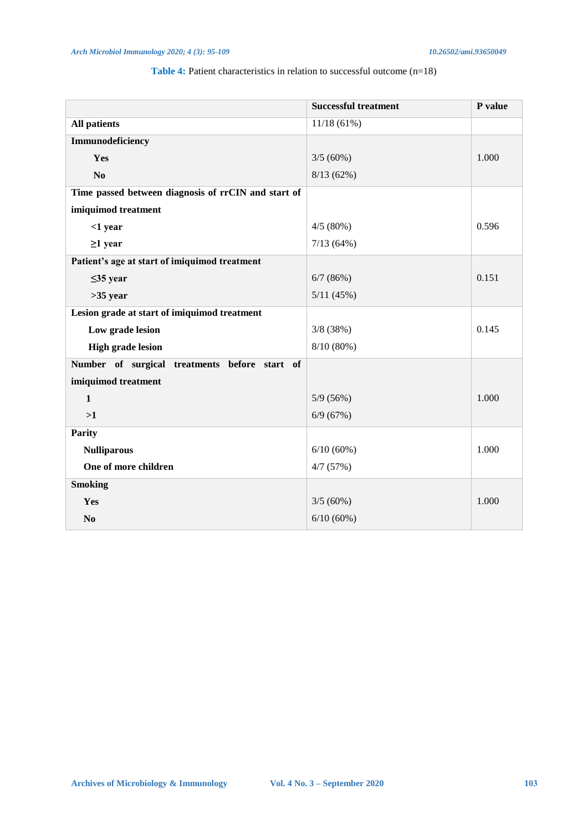## **Table 4:** Patient characteristics in relation to successful outcome (n=18)

|                                                     | <b>Successful treatment</b> | P value |
|-----------------------------------------------------|-----------------------------|---------|
| <b>All patients</b>                                 | 11/18(61%)                  |         |
| Immunodeficiency                                    |                             |         |
| Yes                                                 | $3/5(60\%)$                 | 1.000   |
| N <sub>o</sub>                                      | 8/13(62%)                   |         |
| Time passed between diagnosis of rrCIN and start of |                             |         |
| imiquimod treatment                                 |                             |         |
| $<$ 1 year                                          | 4/5(80%)                    | 0.596   |
| $\geq$ 1 year                                       | 7/13(64%)                   |         |
| Patient's age at start of imiquimod treatment       |                             |         |
| $\leq$ 35 year                                      | 6/7(86%)                    | 0.151   |
| $>35$ year                                          | 5/11(45%)                   |         |
| Lesion grade at start of imiquimod treatment        |                             |         |
| Low grade lesion                                    | 3/8(38%)                    | 0.145   |
| <b>High grade lesion</b>                            | 8/10(80%)                   |         |
| Number of surgical treatments before start of       |                             |         |
| imiquimod treatment                                 |                             |         |
| $\mathbf{1}$                                        | 5/9(56%)                    | 1.000   |
| >1                                                  | 6/9(67%)                    |         |
| <b>Parity</b>                                       |                             |         |
| <b>Nulliparous</b>                                  | 6/10(60%)                   | 1.000   |
| One of more children                                | 4/7(57%)                    |         |
| <b>Smoking</b>                                      |                             |         |
| Yes                                                 | 3/5(60%)                    | 1.000   |
| N <sub>0</sub>                                      | 6/10(60%)                   |         |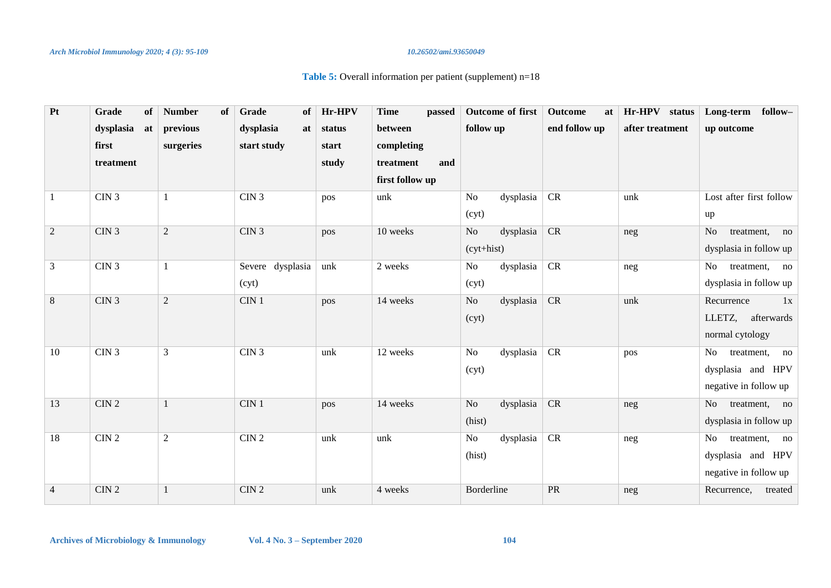## Table 5: Overall information per patient (supplement) n=18

| Pt             | Grade<br>of      | <b>Number</b><br>of | Grade<br>of      | Hr-HPV | <b>Time</b><br>passed     | Outcome of first            | Outcome<br>at                     | Hr-HPV status   | Long-term follow-                  |
|----------------|------------------|---------------------|------------------|--------|---------------------------|-----------------------------|-----------------------------------|-----------------|------------------------------------|
|                | dysplasia<br>at  | previous            | dysplasia<br>at  | status | between                   | follow up                   | end follow up                     | after treatment | up outcome                         |
|                | first            | surgeries           | start study      | start  | completing                |                             |                                   |                 |                                    |
|                | treatment        |                     |                  | study  | treatment<br>and          |                             |                                   |                 |                                    |
|                |                  |                     |                  |        | first follow up           |                             |                                   |                 |                                    |
| 1              | CIN3             |                     | $\rm CIN$ $3$    | pos    | $\ensuremath{\text{unk}}$ | dysplasia<br>No             | CR                                | unk             | Lost after first follow            |
|                |                  |                     |                  |        |                           | (cyt)                       |                                   |                 | up                                 |
| 2              | CIN3             | $\overline{2}$      | CIN3             | pos    | 10 weeks                  | dysplasia<br>No             | CR                                | neg             | N <sub>o</sub><br>treatment,<br>no |
|                |                  |                     |                  |        |                           | $(cyt+hist)$                |                                   |                 | dysplasia in follow up             |
| $\mathfrak{Z}$ | CIN3             | 1                   | Severe dysplasia | unk    | 2 weeks                   | dysplasia   CR<br>No        |                                   | neg             | treatment, no<br>No                |
|                |                  |                     | (cyt)            |        |                           | (cyt)                       |                                   |                 | dysplasia in follow up             |
| $8\,$          | CIN <sub>3</sub> | $\overline{2}$      | CIN <sub>1</sub> | pos    | 14 weeks                  | dysplasia<br>N <sub>o</sub> | <b>CR</b>                         | unk             | Recurrence<br>1x                   |
|                |                  |                     |                  |        |                           | (cyt)                       |                                   |                 | LLETZ,<br>afterwards               |
|                |                  |                     |                  |        |                           |                             |                                   |                 | normal cytology                    |
| 10             | CIN3             | $\mathfrak{Z}$      | CIN3             | unk    | 12 weeks                  | dysplasia   CR<br>No        |                                   | pos             | No<br>treatment,<br>no             |
|                |                  |                     |                  |        |                           | (cyt)                       |                                   |                 | dysplasia and HPV                  |
|                |                  |                     |                  |        |                           |                             |                                   |                 | negative in follow up              |
| 13             | CIN2             | $\mathbf{1}$        | $\rm CIN$ $1$    | pos    | 14 weeks                  | dysplasia   CR<br>No        |                                   | neg             | No<br>treatment, no                |
|                |                  |                     |                  |        |                           | (hist)                      |                                   |                 | dysplasia in follow up             |
| 18             | CIN2             | $\sqrt{2}$          | CIN2             | unk    | unk                       | dysplasia<br>No             | CR                                | neg             | N <sub>o</sub><br>treatment, no    |
|                |                  |                     |                  |        |                           | (hist)                      |                                   |                 | dysplasia and HPV                  |
|                |                  |                     |                  |        |                           |                             |                                   |                 | negative in follow up              |
| $\overline{4}$ | CIN2             |                     | CIN2             | unk    | 4 weeks                   | Borderline                  | $\ensuremath{\mathsf{PR}}\xspace$ | neg             | Recurrence,<br>treated             |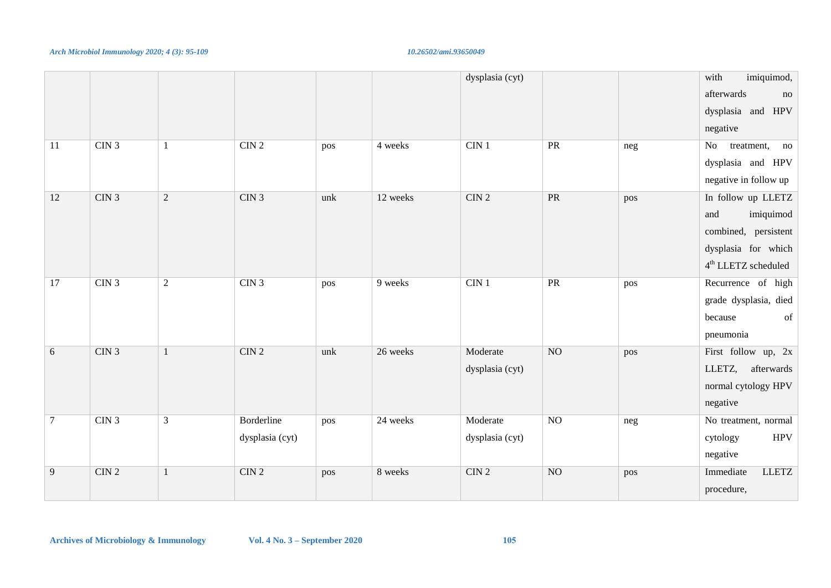|                |      |                |                               |     |          | dysplasia (cyt)             |                |     | imiquimod,<br>with<br>afterwards<br>no<br>dysplasia and HPV<br>negative                                               |
|----------------|------|----------------|-------------------------------|-----|----------|-----------------------------|----------------|-----|-----------------------------------------------------------------------------------------------------------------------|
| $11\,$         | CIN3 | $\mathbf{1}$   | CIN2                          | pos | 4 weeks  | $CIN$ 1                     | PR             | neg | No<br>treatment,<br>no<br>dysplasia and HPV<br>negative in follow up                                                  |
| 12             | CIN3 | $\overline{2}$ | CIN3                          | unk | 12 weeks | $CIN$ 2                     | <b>PR</b>      | pos | In follow up LLETZ<br>imiquimod<br>and<br>combined, persistent<br>dysplasia for which<br>$4^{\rm th}$ LLETZ scheduled |
| 17             | CIN3 | $\sqrt{2}$     | CIN <sub>3</sub>              | pos | 9 weeks  | $CIN$ 1                     | PR             | pos | Recurrence of high<br>grade dysplasia, died<br>because<br>of<br>pneumonia                                             |
| $\sqrt{6}$     | CIN3 | $\mathbf{1}$   | CIN2                          | unk | 26 weeks | Moderate<br>dysplasia (cyt) | N <sub>O</sub> | pos | First follow up, 2x<br>LLETZ, afterwards<br>normal cytology HPV<br>negative                                           |
| $\overline{7}$ | CIN3 | $\overline{3}$ | Borderline<br>dysplasia (cyt) | pos | 24 weeks | Moderate<br>dysplasia (cyt) | N <sub>O</sub> | neg | No treatment, normal<br><b>HPV</b><br>cytology<br>negative                                                            |
| 9              | CIN2 | $\mathbf{1}$   | CIN2                          | pos | 8 weeks  | CIN2                        | NO             | pos | Immediate<br><b>LLETZ</b><br>procedure,                                                                               |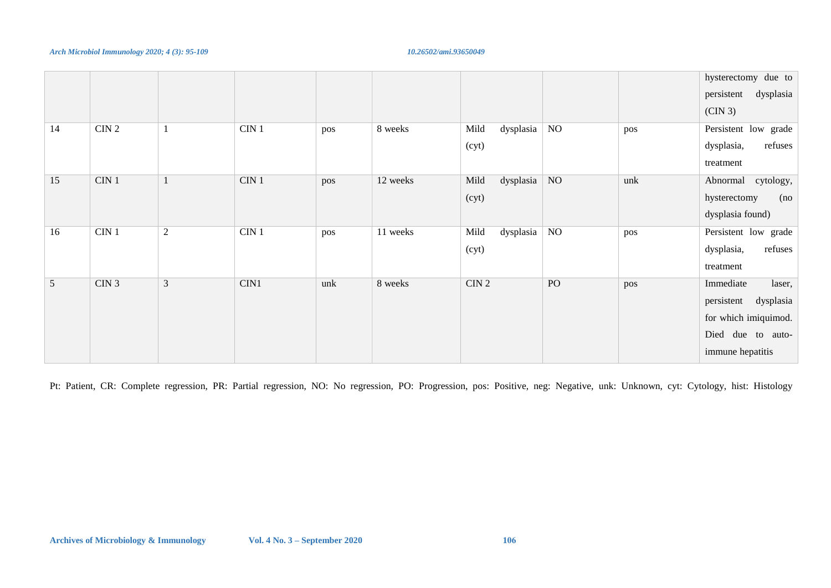### *Arch Microbiol Immunology 2020; 4 (3): 95-109* 10.26502/ami.93650049 **10.26502/ami.93650049**

|                 |                  |                |                  |     |          |                   |          |     | hysterectomy due to     |
|-----------------|------------------|----------------|------------------|-----|----------|-------------------|----------|-----|-------------------------|
|                 |                  |                |                  |     |          |                   |          |     | dysplasia<br>persistent |
|                 |                  |                |                  |     |          |                   |          |     | (CIN 3)                 |
| 14              | CIN2             |                | CIN <sub>1</sub> | pos | 8 weeks  | dysplasia<br>Mild | $\rm NO$ | pos | Persistent low grade    |
|                 |                  |                |                  |     |          | (cyt)             |          |     | refuses<br>dysplasia,   |
|                 |                  |                |                  |     |          |                   |          |     | treatment               |
| 15              | $CIN$ 1          | $\mathbf{1}$   | CIN <sub>1</sub> | pos | 12 weeks | dysplasia<br>Mild | NO       | unk | cytology,<br>Abnormal   |
|                 |                  |                |                  |     |          | (cyt)             |          |     | (no<br>hysterectomy     |
|                 |                  |                |                  |     |          |                   |          |     | dysplasia found)        |
| 16              | CIN 1            | $\overline{c}$ | CIN <sub>1</sub> | pos | 11 weeks | dysplasia<br>Mild | NO       | pos | Persistent low grade    |
|                 |                  |                |                  |     |          | (cyt)             |          |     | refuses<br>dysplasia,   |
|                 |                  |                |                  |     |          |                   |          |     | treatment               |
| $5\overline{)}$ | CIN <sub>3</sub> | $\mathfrak{Z}$ | CIN1             | unk | 8 weeks  | CIN2              | PO       | pos | Immediate<br>laser,     |
|                 |                  |                |                  |     |          |                   |          |     | dysplasia<br>persistent |
|                 |                  |                |                  |     |          |                   |          |     | for which imiquimod.    |
|                 |                  |                |                  |     |          |                   |          |     | Died due to auto-       |
|                 |                  |                |                  |     |          |                   |          |     | immune hepatitis        |

Pt: Patient, CR: Complete regression, PR: Partial regression, NO: No regression, PO: Progression, pos: Positive, neg: Negative, unk: Unknown, cyt: Cytology, hist: Histology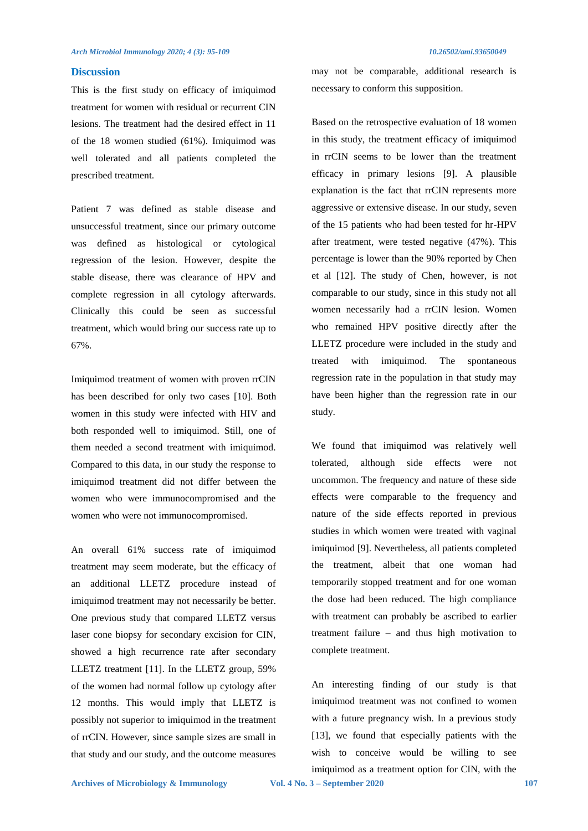## **Discussion**

This is the first study on efficacy of imiquimod treatment for women with residual or recurrent CIN lesions. The treatment had the desired effect in 11 of the 18 women studied (61%). Imiquimod was well tolerated and all patients completed the prescribed treatment.

Patient 7 was defined as stable disease and unsuccessful treatment, since our primary outcome was defined as histological or cytological regression of the lesion. However, despite the stable disease, there was clearance of HPV and complete regression in all cytology afterwards. Clinically this could be seen as successful treatment, which would bring our success rate up to 67%.

Imiquimod treatment of women with proven rrCIN has been described for only two cases [10]. Both women in this study were infected with HIV and both responded well to imiquimod. Still, one of them needed a second treatment with imiquimod. Compared to this data, in our study the response to imiquimod treatment did not differ between the women who were immunocompromised and the women who were not immunocompromised.

An overall 61% success rate of imiquimod treatment may seem moderate, but the efficacy of an additional LLETZ procedure instead of imiquimod treatment may not necessarily be better. One previous study that compared LLETZ versus laser cone biopsy for secondary excision for CIN, showed a high recurrence rate after secondary LLETZ treatment [11]. In the LLETZ group, 59% of the women had normal follow up cytology after 12 months. This would imply that LLETZ is possibly not superior to imiquimod in the treatment of rrCIN. However, since sample sizes are small in that study and our study, and the outcome measures

may not be comparable, additional research is necessary to conform this supposition.

Based on the retrospective evaluation of 18 women in this study, the treatment efficacy of imiquimod in rrCIN seems to be lower than the treatment efficacy in primary lesions [9]. A plausible explanation is the fact that rrCIN represents more aggressive or extensive disease. In our study, seven of the 15 patients who had been tested for hr-HPV after treatment, were tested negative (47%). This percentage is lower than the 90% reported by Chen et al [12]. The study of Chen, however, is not comparable to our study, since in this study not all women necessarily had a rrCIN lesion. Women who remained HPV positive directly after the LLETZ procedure were included in the study and treated with imiquimod. The spontaneous regression rate in the population in that study may have been higher than the regression rate in our study.

We found that imiquimod was relatively well tolerated, although side effects were not uncommon. The frequency and nature of these side effects were comparable to the frequency and nature of the side effects reported in previous studies in which women were treated with vaginal imiquimod [9]. Nevertheless, all patients completed the treatment, albeit that one woman had temporarily stopped treatment and for one woman the dose had been reduced. The high compliance with treatment can probably be ascribed to earlier treatment failure – and thus high motivation to complete treatment.

An interesting finding of our study is that imiquimod treatment was not confined to women with a future pregnancy wish. In a previous study [13], we found that especially patients with the wish to conceive would be willing to see imiquimod as a treatment option for CIN, with the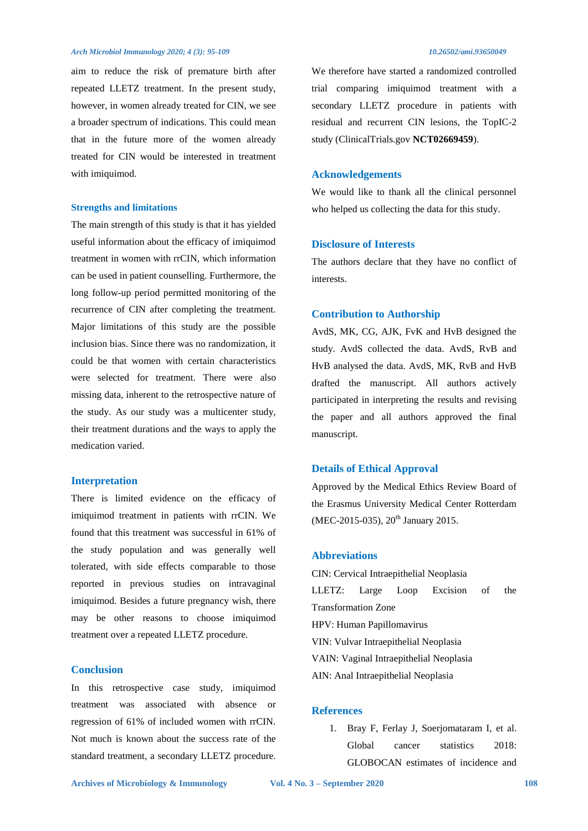aim to reduce the risk of premature birth after repeated LLETZ treatment. In the present study, however, in women already treated for CIN, we see a broader spectrum of indications. This could mean that in the future more of the women already treated for CIN would be interested in treatment with imiquimod.

## **Strengths and limitations**

The main strength of this study is that it has yielded useful information about the efficacy of imiquimod treatment in women with rrCIN, which information can be used in patient counselling. Furthermore, the long follow-up period permitted monitoring of the recurrence of CIN after completing the treatment. Major limitations of this study are the possible inclusion bias. Since there was no randomization, it could be that women with certain characteristics were selected for treatment. There were also missing data, inherent to the retrospective nature of the study. As our study was a multicenter study, their treatment durations and the ways to apply the medication varied.

## **Interpretation**

There is limited evidence on the efficacy of imiquimod treatment in patients with rrCIN. We found that this treatment was successful in 61% of the study population and was generally well tolerated, with side effects comparable to those reported in previous studies on intravaginal imiquimod. Besides a future pregnancy wish, there may be other reasons to choose imiquimod treatment over a repeated LLETZ procedure.

## **Conclusion**

In this retrospective case study, imiquimod treatment was associated with absence or regression of 61% of included women with rrCIN. Not much is known about the success rate of the standard treatment, a secondary LLETZ procedure.

We therefore have started a randomized controlled trial comparing imiquimod treatment with a secondary LLETZ procedure in patients with residual and recurrent CIN lesions, the TopIC-2 study (ClinicalTrials.gov **NCT02669459**).

## **Acknowledgements**

We would like to thank all the clinical personnel who helped us collecting the data for this study.

## **Disclosure of Interests**

The authors declare that they have no conflict of interests.

## **Contribution to Authorship**

AvdS, MK, CG, AJK, FvK and HvB designed the study. AvdS collected the data. AvdS, RvB and HvB analysed the data. AvdS, MK, RvB and HvB drafted the manuscript. All authors actively participated in interpreting the results and revising the paper and all authors approved the final manuscript.

## **Details of Ethical Approval**

Approved by the Medical Ethics Review Board of the Erasmus University Medical Center Rotterdam (MEC-2015-035), 20<sup>th</sup> January 2015.

## **Abbreviations**

CIN: Cervical Intraepithelial Neoplasia LLETZ: Large Loop Excision of the Transformation Zone HPV: Human Papillomavirus VIN: Vulvar Intraepithelial Neoplasia VAIN: Vaginal Intraepithelial Neoplasia AIN: Anal Intraepithelial Neoplasia

## **References**

1. Bray F, Ferlay J, Soerjomataram I, et al. Global cancer statistics 2018: GLOBOCAN estimates of incidence and